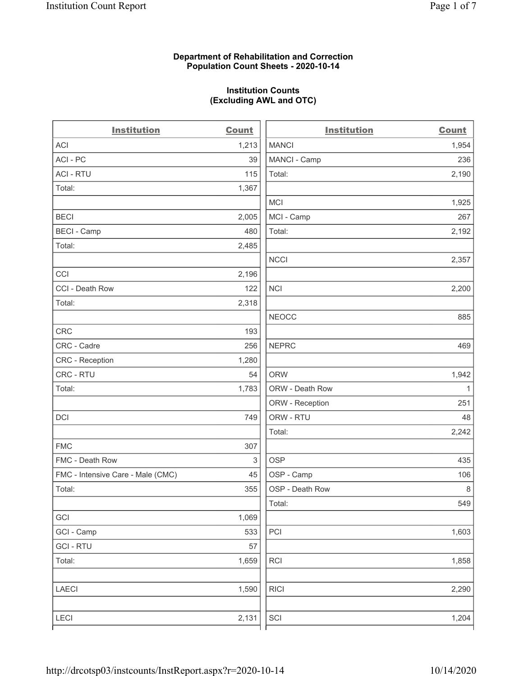#### Department of Rehabilitation and Correction Population Count Sheets - 2020-10-14

#### Institution Counts (Excluding AWL and OTC)

| <b>Institution</b>                | <b>Count</b> | <b>Institution</b>          | <b>Count</b> |
|-----------------------------------|--------------|-----------------------------|--------------|
| ACI                               | 1,213        | <b>MANCI</b>                | 1,954        |
| ACI-PC                            | 39           | MANCI - Camp                | 236          |
| <b>ACI - RTU</b>                  | 115          | Total:                      | 2,190        |
| Total:                            | 1,367        |                             |              |
|                                   |              | <b>MCI</b>                  | 1,925        |
| <b>BECI</b>                       | 2,005        | MCI - Camp                  | 267          |
| <b>BECI - Camp</b>                | 480          | Total:                      | 2,192        |
| Total:                            | 2,485        |                             |              |
|                                   |              | <b>NCCI</b>                 | 2,357        |
| CCI                               | 2,196        |                             |              |
| CCI - Death Row                   | 122          | <b>NCI</b>                  | 2,200        |
| Total:                            | 2,318        |                             |              |
|                                   |              | <b>NEOCC</b>                | 885          |
| <b>CRC</b>                        | 193          |                             |              |
| CRC - Cadre                       | 256          | <b>NEPRC</b>                | 469          |
| <b>CRC</b> - Reception            | 1,280        |                             |              |
| CRC - RTU                         | 54           | <b>ORW</b>                  | 1,942        |
| Total:                            | 1,783        | ORW - Death Row             | 1            |
|                                   |              | ORW - Reception             | 251          |
| DCI                               | 749          | ORW - RTU                   | 48           |
|                                   |              | Total:                      | 2,242        |
| <b>FMC</b>                        | 307          |                             |              |
| FMC - Death Row                   | 3            | <b>OSP</b>                  | 435          |
| FMC - Intensive Care - Male (CMC) | 45           | OSP - Camp                  | 106          |
| Total:                            | 355          | OSP - Death Row             | 8            |
|                                   |              | Total:                      | 549          |
| GCI                               | 1,069        |                             |              |
| GCI - Camp                        | 533          | PCI                         | 1,603        |
| <b>GCI-RTU</b>                    | 57           |                             |              |
| Total:                            | 1,659        | <b>RCI</b>                  | 1,858        |
| <b>LAECI</b>                      | 1,590        | <b>RICI</b>                 | 2,290        |
| <b>LECI</b>                       | 2,131        | $\ensuremath{\mathsf{SCI}}$ | 1,204        |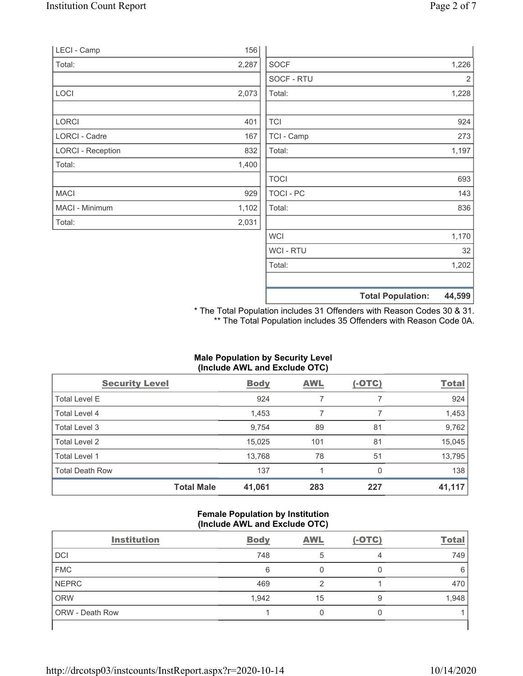|                          |       |             | <b>Total Population:</b> | 44,599 |
|--------------------------|-------|-------------|--------------------------|--------|
|                          |       |             |                          |        |
|                          |       | Total:      |                          | 1,202  |
|                          |       | WCI - RTU   |                          | 32     |
|                          |       | <b>WCI</b>  |                          | 1,170  |
| Total:                   | 2,031 |             |                          |        |
| MACI - Minimum           | 1,102 | Total:      |                          | 836    |
| <b>MACI</b>              | 929   | TOCI - PC   |                          | 143    |
|                          |       | <b>TOCI</b> |                          | 693    |
| Total:                   | 1,400 |             |                          |        |
| <b>LORCI - Reception</b> | 832   | Total:      |                          | 1,197  |
| <b>LORCI - Cadre</b>     | 167   | TCI - Camp  |                          | 273    |
| LORCI                    | 401   | <b>TCI</b>  |                          | 924    |
|                          |       |             |                          |        |
| LOCI                     | 2,073 | Total:      |                          | 1,228  |
|                          |       | SOCF - RTU  |                          | 2      |
| Total:                   | 2,287 | <b>SOCF</b> |                          | 1,226  |
| LECI - Camp              | 156   |             |                          |        |

\* The Total Population includes 31 Offenders with Reason Codes 30 & 31. \*\* The Total Population includes 35 Offenders with Reason Code 0A.

# Male Population by Security Level (Include AWL and Exclude OTC)

| <b>Security Level</b>  |                   | <b>Body</b> | <b>AWL</b> | $(-OTC)$ | <b>Total</b> |
|------------------------|-------------------|-------------|------------|----------|--------------|
| Total Level E          |                   | 924         |            |          | 924          |
| Total Level 4          |                   | 1,453       |            |          | 1,453        |
| Total Level 3          |                   | 9,754       | 89         | 81       | 9,762        |
| Total Level 2          |                   | 15,025      | 101        | 81       | 15,045       |
| Total Level 1          |                   | 13,768      | 78         | 51       | 13,795       |
| <b>Total Death Row</b> |                   | 137         |            | $\Omega$ | 138          |
|                        | <b>Total Male</b> | 41,061      | 283        | 227      | 41,117       |

#### Female Population by Institution (Include AWL and Exclude OTC)

| <b>Institution</b>     | <b>Body</b> | <b>AWL</b> | $(-OTC)$ | <b>Total</b> |
|------------------------|-------------|------------|----------|--------------|
| <b>DCI</b>             | 748         |            |          | 749          |
| <b>FMC</b>             | 6           |            |          | 6            |
| <b>NEPRC</b>           | 469         |            |          | 470          |
| <b>ORW</b>             | 1,942       | 15         |          | 1,948        |
| <b>ORW</b> - Death Row |             |            |          |              |
|                        |             |            |          |              |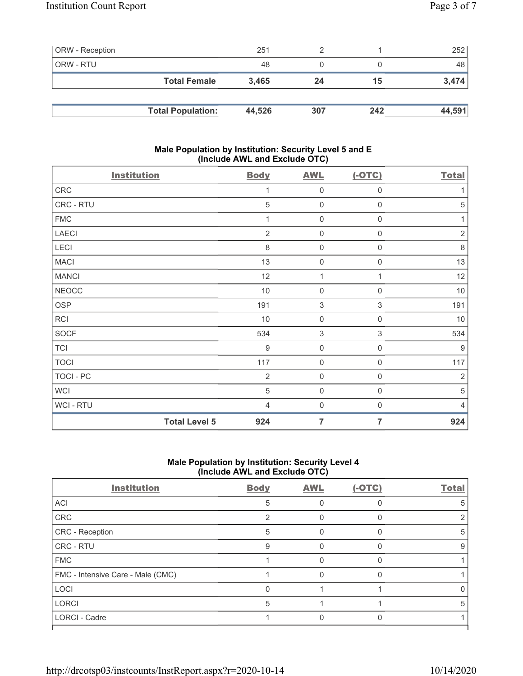| <b>ORW</b> - Reception |                          | 251    |     |     | 252    |
|------------------------|--------------------------|--------|-----|-----|--------|
| ORW - RTU              |                          | 48     |     |     | 48     |
|                        | <b>Total Female</b>      | 3.465  | 24  | 15  | 3,474  |
|                        |                          |        |     |     |        |
|                        | <b>Total Population:</b> | 44,526 | 307 | 242 | 44,591 |

### Male Population by Institution: Security Level 5 and E (Include AWL and Exclude OTC)

| <b>Institution</b>   | <b>Body</b>      | <b>AWL</b>                | $(-OTC)$            | <b>Total</b>     |
|----------------------|------------------|---------------------------|---------------------|------------------|
| CRC                  | 1                | $\mathbf 0$               | $\boldsymbol{0}$    | 1                |
| CRC - RTU            | 5                | $\mathbf 0$               | $\boldsymbol{0}$    | $\mathbf 5$      |
| <b>FMC</b>           |                  | $\mathbf 0$               | $\boldsymbol{0}$    | 1                |
| <b>LAECI</b>         | $\overline{2}$   | $\mathbf 0$               | $\boldsymbol{0}$    | $\sqrt{2}$       |
| LECI                 | $\,8\,$          | $\mathsf{O}\xspace$       | $\boldsymbol{0}$    | $\,8\,$          |
| <b>MACI</b>          | 13               | $\mathsf{O}\xspace$       | $\boldsymbol{0}$    | 13               |
| <b>MANCI</b>         | 12               | 1                         | 1                   | 12               |
| <b>NEOCC</b>         | 10               | $\mathbf 0$               | $\boldsymbol{0}$    | 10               |
| OSP                  | 191              | $\ensuremath{\mathsf{3}}$ | $\sqrt{3}$          | 191              |
| <b>RCI</b>           | $10$             | $\mathbf 0$               | $\boldsymbol{0}$    | $10$             |
| SOCF                 | 534              | $\sqrt{3}$                | $\sqrt{3}$          | 534              |
| <b>TCI</b>           | $\boldsymbol{9}$ | $\mathsf{O}\xspace$       | $\mathsf{O}\xspace$ | $\boldsymbol{9}$ |
| <b>TOCI</b>          | 117              | $\mathsf 0$               | $\boldsymbol{0}$    | 117              |
| TOCI - PC            | $\overline{2}$   | $\mathsf 0$               | $\boldsymbol{0}$    | $\overline{2}$   |
| <b>WCI</b>           | 5                | $\mathbf 0$               | $\boldsymbol{0}$    | $\mathbf 5$      |
| WCI - RTU            | $\overline{4}$   | $\mathbf 0$               | $\boldsymbol{0}$    | $\overline{4}$   |
| <b>Total Level 5</b> | 924              | $\overline{7}$            | 7                   | 924              |

## Male Population by Institution: Security Level 4 (Include AWL and Exclude OTC)

| <b>Institution</b>                | <b>Body</b> | <b>AWL</b> | $(-OTC)$ | <b>Total</b> |
|-----------------------------------|-------------|------------|----------|--------------|
| <b>ACI</b>                        | 5           |            |          | 5            |
| CRC                               |             |            |          |              |
| <b>CRC</b> - Reception            | 5           |            |          | 5            |
| <b>CRC - RTU</b>                  | 9           |            |          | 9            |
| <b>FMC</b>                        |             |            |          |              |
| FMC - Intensive Care - Male (CMC) |             |            |          |              |
| LOCI                              |             |            |          | O            |
| <b>LORCI</b>                      | 5           |            |          | 5            |
| <b>LORCI - Cadre</b>              |             |            |          |              |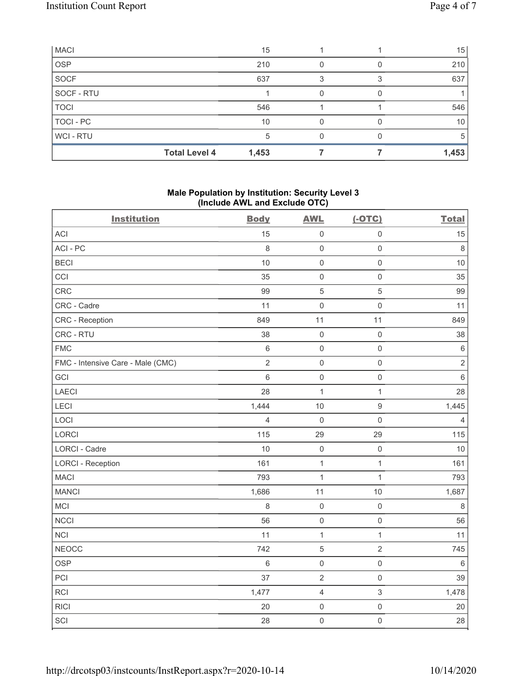| <b>MACI</b> |                      | 15    |  | 15    |
|-------------|----------------------|-------|--|-------|
| <b>OSP</b>  |                      | 210   |  | 210   |
| SOCF        |                      | 637   |  | 637   |
| SOCF - RTU  |                      |       |  |       |
| <b>TOCI</b> |                      | 546   |  | 546   |
| TOCI - PC   |                      | 10    |  | 10    |
| WCI - RTU   |                      | 5     |  | 5     |
|             | <b>Total Level 4</b> | 1,453 |  | 1,453 |

### Male Population by Institution: Security Level 3 (Include AWL and Exclude OTC)

| `<br><b>Institution</b>           | <b>Body</b>    | ,<br><b>AWL</b> | $(-OTC)$            | <b>Total</b>   |
|-----------------------------------|----------------|-----------------|---------------------|----------------|
|                                   |                |                 |                     |                |
| <b>ACI</b>                        | 15             | $\mathbf 0$     | $\mathsf 0$         | 15             |
| ACI-PC                            | $\,8\,$        | $\mathbf 0$     | $\mathsf{O}\xspace$ | 8              |
| <b>BECI</b>                       | 10             | $\mathbf 0$     | $\mathsf{O}\xspace$ | 10             |
| CCI                               | 35             | $\mathbf 0$     | $\mathsf 0$         | 35             |
| CRC                               | 99             | $\mathbf 5$     | $\mathbf 5$         | 99             |
| CRC - Cadre                       | 11             | $\mathbf 0$     | $\mathsf 0$         | 11             |
| CRC - Reception                   | 849            | 11              | 11                  | 849            |
| CRC - RTU                         | 38             | $\mathbf 0$     | $\mathsf{O}\xspace$ | 38             |
| <b>FMC</b>                        | 6              | $\mathbf 0$     | $\mathsf 0$         | $\,6\,$        |
| FMC - Intensive Care - Male (CMC) | $\overline{2}$ | $\mathbf 0$     | $\mathsf{O}\xspace$ | $\sqrt{2}$     |
| GCI                               | 6              | $\mathbf 0$     | $\mathsf{O}\xspace$ | $\,6\,$        |
| <b>LAECI</b>                      | 28             | $\overline{1}$  | $\mathbf{1}$        | 28             |
| LECI                              | 1,444          | $10$            | $\boldsymbol{9}$    | 1,445          |
| LOCI                              | $\overline{4}$ | $\mathbf 0$     | $\mathsf 0$         | $\overline{4}$ |
| <b>LORCI</b>                      | 115            | 29              | 29                  | 115            |
| LORCI - Cadre                     | 10             | $\mathbf 0$     | $\mathsf{O}\xspace$ | 10             |
| <b>LORCI - Reception</b>          | 161            | $\mathbf 1$     | $\mathbf{1}$        | 161            |
| <b>MACI</b>                       | 793            | 1               | $\mathbf{1}$        | 793            |
| <b>MANCI</b>                      | 1,686          | 11              | $10$                | 1,687          |
| MCI                               | 8              | $\mathbf 0$     | $\mathsf 0$         | $\,8\,$        |
| <b>NCCI</b>                       | 56             | $\mathbf 0$     | $\mathsf{O}\xspace$ | 56             |
| <b>NCI</b>                        | 11             | $\mathbf 1$     | $\mathbf{1}$        | 11             |
| <b>NEOCC</b>                      | 742            | $\,$ 5 $\,$     | $\sqrt{2}$          | 745            |
| OSP                               | 6              | $\mathbf 0$     | $\mathsf{O}\xspace$ | $\,6\,$        |
| PCI                               | 37             | $\sqrt{2}$      | $\mathsf{O}\xspace$ | 39             |
| RCI                               | 1,477          | $\overline{4}$  | $\sqrt{3}$          | 1,478          |
| <b>RICI</b>                       | 20             | $\mathbf 0$     | $\mathsf{O}\xspace$ | 20             |
| SCI                               | 28             | $\mathbf 0$     | $\mathsf{O}\xspace$ | 28             |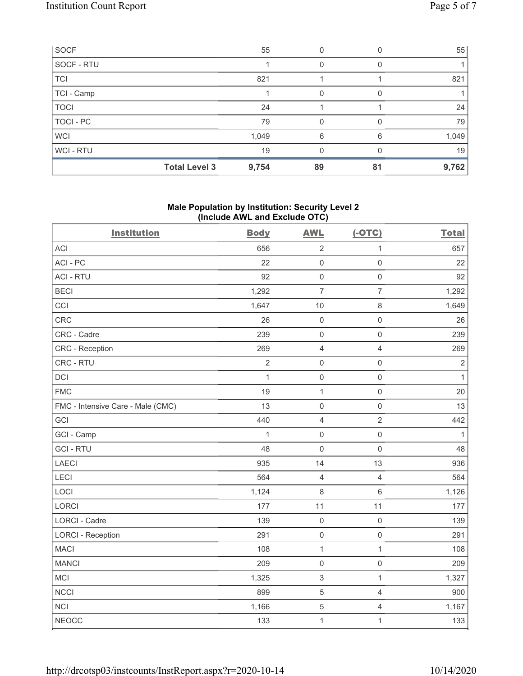| SOCF             |                      | 55    |    |    | 55    |
|------------------|----------------------|-------|----|----|-------|
| SOCF - RTU       |                      |       |    |    |       |
| <b>TCI</b>       |                      | 821   |    |    | 821   |
| TCI - Camp       |                      |       | O  |    |       |
| <b>TOCI</b>      |                      | 24    |    |    | 24    |
| <b>TOCI - PC</b> |                      | 79    | O  |    | 79    |
| <b>WCI</b>       |                      | 1,049 | 6  | 6  | 1,049 |
| WCI-RTU          |                      | 19    |    |    | 19    |
|                  | <b>Total Level 3</b> | 9,754 | 89 | 81 | 9,762 |

### Male Population by Institution: Security Level 2 (Include AWL and Exclude OTC)

| <b>Institution</b>                | <b>Body</b>    | <b>AWL</b>          | $(-OTC)$            | <b>Total</b> |
|-----------------------------------|----------------|---------------------|---------------------|--------------|
| <b>ACI</b>                        | 656            | $\overline{2}$      | $\mathbf{1}$        | 657          |
| ACI-PC                            | 22             | $\mathbf 0$         | $\mathsf{O}\xspace$ | 22           |
| <b>ACI - RTU</b>                  | 92             | $\mathbf 0$         | $\mathsf{O}\xspace$ | 92           |
| <b>BECI</b>                       | 1,292          | $\overline{7}$      | $\overline{7}$      | 1,292        |
| CCI                               | 1,647          | 10                  | $\,8\,$             | 1,649        |
| CRC                               | 26             | $\mathbf 0$         | $\mathsf{O}\xspace$ | 26           |
| CRC - Cadre                       | 239            | $\mathbf 0$         | $\mathsf{O}\xspace$ | 239          |
| CRC - Reception                   | 269            | $\overline{4}$      | $\overline{4}$      | 269          |
| CRC - RTU                         | $\overline{2}$ | $\mathbf 0$         | $\mathsf{O}\xspace$ | $\sqrt{2}$   |
| DCI                               | $\mathbf{1}$   | $\mathbf 0$         | $\mathsf{O}\xspace$ | $\mathbf{1}$ |
| <b>FMC</b>                        | 19             | $\overline{1}$      | $\mathsf{O}\xspace$ | 20           |
| FMC - Intensive Care - Male (CMC) | 13             | $\mathsf{O}\xspace$ | $\mathsf{O}\xspace$ | 13           |
| GCI                               | 440            | $\overline{4}$      | $\overline{2}$      | 442          |
| GCI - Camp                        | $\mathbf{1}$   | $\mathbf 0$         | $\mathsf{O}\xspace$ | $\mathbf{1}$ |
| <b>GCI-RTU</b>                    | 48             | $\mathbf 0$         | $\mathsf{O}\xspace$ | 48           |
| <b>LAECI</b>                      | 935            | 14                  | 13                  | 936          |
| LECI                              | 564            | $\overline{4}$      | $\overline{4}$      | 564          |
| LOCI                              | 1,124          | $\,8\,$             | $\,6\,$             | 1,126        |
| LORCI                             | 177            | 11                  | 11                  | 177          |
| LORCI - Cadre                     | 139            | $\mathbf 0$         | $\mathsf{O}\xspace$ | 139          |
| <b>LORCI - Reception</b>          | 291            | $\mathbf 0$         | $\mathsf{O}\xspace$ | 291          |
| <b>MACI</b>                       | 108            | $\mathbf{1}$        | $\overline{1}$      | 108          |
| <b>MANCI</b>                      | 209            | $\mathbf 0$         | $\mathsf{O}\xspace$ | 209          |
| <b>MCI</b>                        | 1,325          | 3                   | $\mathbf{1}$        | 1,327        |
| <b>NCCI</b>                       | 899            | $\overline{5}$      | $\overline{4}$      | 900          |
| <b>NCI</b>                        | 1,166          | 5                   | $\overline{4}$      | 1,167        |
| <b>NEOCC</b>                      | 133            | $\mathbf{1}$        | $\mathbf{1}$        | 133          |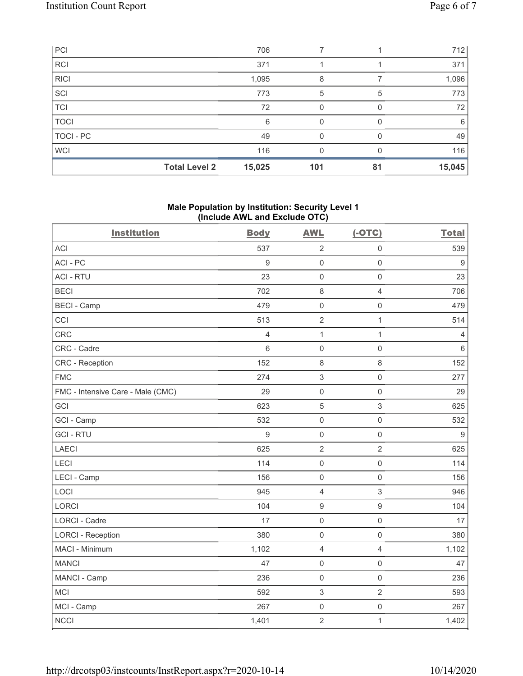| PCI         |                      | 706    |     |    | 712    |
|-------------|----------------------|--------|-----|----|--------|
| <b>RCI</b>  |                      | 371    |     |    | 371    |
| <b>RICI</b> |                      | 1,095  | 8   |    | 1,096  |
| SCI         |                      | 773    | 5   | 5  | 773    |
| <b>TCI</b>  |                      | 72     | U   |    | 72     |
| <b>TOCI</b> |                      | 6      | O   |    | 6      |
| TOCI - PC   |                      | 49     |     |    | 49     |
| <b>WCI</b>  |                      | 116    |     |    | 116    |
|             | <b>Total Level 2</b> | 15,025 | 101 | 81 | 15,045 |

#### Male Population by Institution: Security Level 1 (Include AWL and Exclude OTC)

| <b>Institution</b>                | <b>Body</b>      | <b>AWL</b>          | $(-OTC)$            | <b>Total</b>   |
|-----------------------------------|------------------|---------------------|---------------------|----------------|
| <b>ACI</b>                        | 537              | $\sqrt{2}$          | $\mathsf{O}\xspace$ | 539            |
| ACI-PC                            | 9                | $\mathbf 0$         | $\mathsf{O}\xspace$ | 9              |
| <b>ACI - RTU</b>                  | 23               | $\mathbf 0$         | $\mathsf{O}\xspace$ | 23             |
| <b>BECI</b>                       | 702              | $\,8\,$             | $\overline{4}$      | 706            |
| <b>BECI - Camp</b>                | 479              | $\mathbf 0$         | $\mathsf{O}\xspace$ | 479            |
| CCI                               | 513              | $\overline{2}$      | $\mathbf{1}$        | 514            |
| CRC                               | 4                | $\overline{1}$      | $\mathbf{1}$        | $\overline{4}$ |
| CRC - Cadre                       | 6                | $\mathbf 0$         | $\mathsf 0$         | $\,6\,$        |
| CRC - Reception                   | 152              | 8                   | 8                   | 152            |
| <b>FMC</b>                        | 274              | $\sqrt{3}$          | $\mathsf{O}\xspace$ | 277            |
| FMC - Intensive Care - Male (CMC) | 29               | $\mathbf 0$         | $\mathbf 0$         | 29             |
| GCI                               | 623              | 5                   | $\sqrt{3}$          | 625            |
| GCI - Camp                        | 532              | $\mathbf 0$         | $\mathsf{O}\xspace$ | 532            |
| <b>GCI-RTU</b>                    | $\boldsymbol{9}$ | $\mathbf 0$         | $\mathsf{O}\xspace$ | $\overline{9}$ |
| <b>LAECI</b>                      | 625              | $\overline{2}$      | $\overline{2}$      | 625            |
| <b>LECI</b>                       | 114              | $\mathbf 0$         | $\mathsf 0$         | 114            |
| LECI - Camp                       | 156              | $\mathbf 0$         | $\mathsf{O}\xspace$ | 156            |
| LOCI                              | 945              | $\overline{4}$      | $\sqrt{3}$          | 946            |
| <b>LORCI</b>                      | 104              | $\boldsymbol{9}$    | $\boldsymbol{9}$    | 104            |
| <b>LORCI - Cadre</b>              | 17               | $\mathbf 0$         | $\mathsf 0$         | 17             |
| <b>LORCI - Reception</b>          | 380              | $\mathsf{O}\xspace$ | $\mathsf{O}\xspace$ | 380            |
| MACI - Minimum                    | 1,102            | $\overline{4}$      | $\overline{4}$      | 1,102          |
| <b>MANCI</b>                      | 47               | $\mathbf 0$         | $\mathsf{O}\xspace$ | 47             |
| MANCI - Camp                      | 236              | $\mathbf 0$         | $\mathsf{O}\xspace$ | 236            |
| MCI                               | 592              | $\sqrt{3}$          | $\overline{2}$      | 593            |
| MCI - Camp                        | 267              | $\mathbf 0$         | $\mathsf{O}\xspace$ | 267            |
| <b>NCCI</b>                       | 1,401            | $\sqrt{2}$          | $\mathbf 1$         | 1,402          |